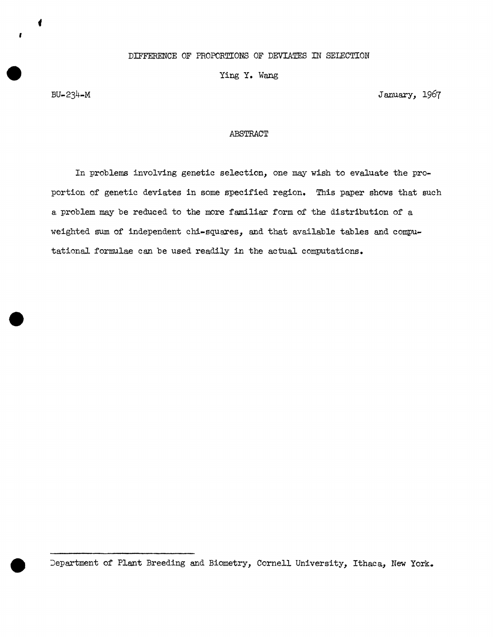Ying Y. Wang

BU-234-M

I

January, 1967

## ABSTRACT

In problems involving genetic selection, one may wish to evaluate the proportion of genetic deviates in some specified region. This paper shows that such a problem may be reduced to the more familiar form of the distribution of a weighted sum of independent chi-squares, and that available tables and computational formulae can be used readily in the actual computations.

Jepartment of Plant Breeding and Biometry, Cornell University, Ithaca, New York.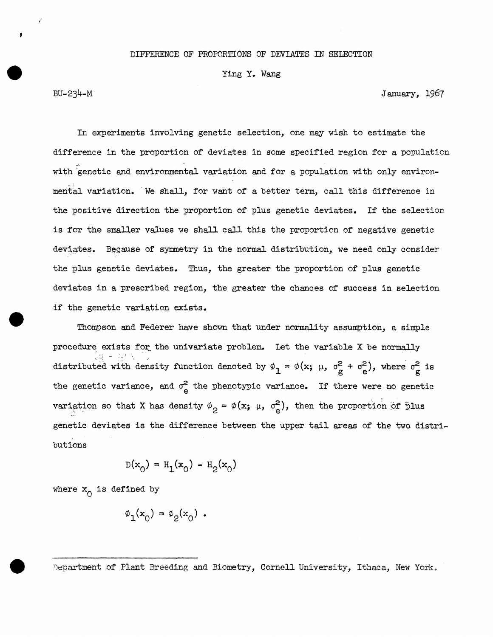## DIFFERENCE OF PROPORTIONS OF DEVIATES IN SELECTION

## Ying Y. Wang

BU-234-M January, 1967

In experiments involving genetic selection, one may wish to estimate the dirference in the proportion of deviates in some specified region for a population with genetic and environmental variation and for a population with only environmental variation. We shall, for want of a better term, call this difference in the positive direction the proportion of plus genetic deviates. If the selection is for the smaller values we shall call this the proportion of negative genetic deviates. Because of symmetry in the normal distribution, we need only consider the plus genetic deviates. Thus, the greater the proportion of plus genetic deviates in a prescribed region, the greater the chances of success in selection if the genetic variation exists.

Thompson and Federer have shown that under normality assumption, a simple procedure exists for the univariate problem. Let the variable X be normally distributed with density function denoted by  $\phi_1 = \phi(x; \mu, \sigma_g^2 + \sigma_e^2)$ , where  $\sigma_g^2$  is the genetic variance, and  $\sigma_{\rm e}^2$  the phenotypic variance. If there were no genetic variation so that X has density  $\phi_2 = \phi(x; \mu, \sigma_e^2)$ , then the proportion of plus genetic deviates is the dirference between the upper tail areas of the two distribut ions

$$
D(x_0) = H_1(x_0) - H_2(x_0)
$$

where  $x_0$  is defined by

$$
\phi_1(\mathbf{x}_0) = \phi_2(\mathbf{x}_0) .
$$

Department of Plant Breeding and Biometry, Cornell University, Ithaca, New York.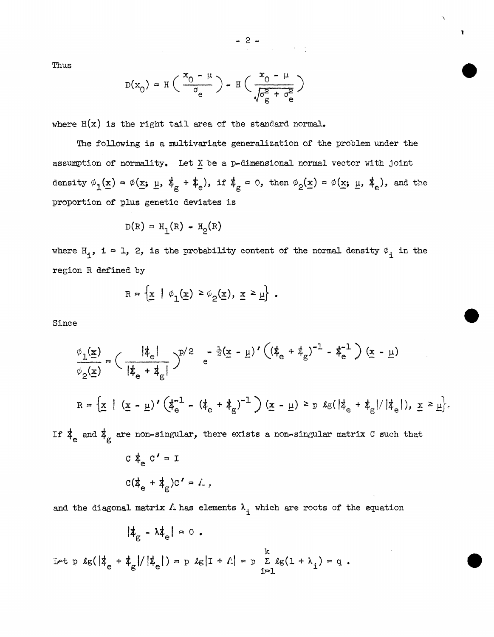Thus

$$
D(x_0) = H\left(\frac{x_0 - \mu}{\sigma_e}\right) - H\left(\frac{x_0 - \mu}{\sqrt{\sigma_g^2 + \sigma_e^2}}\right)
$$

where  $H(x)$  is the right tail area of the standard normal.

The following is a multivariate generalization of the problem under the assumption of normality. Let  $X$  be a p-dimensional normal vector with joint density  $\phi_1(\underline{x}) = \phi(\underline{x}; \underline{\mu}, \underline{\phi}_g + \underline{\phi}),$  if  $\overline{\phi}_g = 0$ , then  $\phi_2(\underline{x}) = \phi(\underline{x}; \underline{\mu}, \underline{\phi}_e),$  and the proportion of plus genetic deviates is

$$
D(R) = H_1(R) - H_2(R)
$$

where  $H_i$ , i = 1, 2, is the probability content of the normal density  $\varphi_i$  in the region R defined by

$$
R = \left\{ \underline{x} \mid \phi_1(\underline{x}) \ge \phi_2(\underline{x}), \underline{x} \ge \underline{\mu} \right\} .
$$

Since

$$
\frac{\phi_1(\underline{x})}{\phi_2(\underline{x})} = \left(\frac{|\dot{\ddot{x}}_e|}{|\dot{\dot{x}}_e + \dot{\dot{x}}_g|}\right)^{p/2} e^{-\frac{1}{2}(\underline{x} - \underline{\mu})'((\dot{\dot{x}}_e + \dot{\dot{x}}_g)^{-1} - \dot{\dot{x}}_e^{-1})(\underline{x} - \underline{\mu})}
$$
\n
$$
R = \left\{\underline{x} \mid (\underline{x} - \underline{\mu})'(\dot{\dot{x}}_e^{-1} - (\dot{\dot{x}}_e + \dot{\dot{x}}_g)^{-1})(\underline{x} - \underline{\mu}) \geq p \text{ kg}(|\dot{\dot{x}}_e + \dot{\dot{x}}_g|/|\dot{\dot{x}}_e|), \underline{x} \geq \underline{\mu}\right\}.
$$
\nIf  $\dot{\dot{x}}_e$  and  $\dot{\dot{x}}_g$  are non-singular, there exists a non-singular matrix C such that

If  $\mathbf{1}_e$  and  $\mathbf{1}_g$ 

$$
C \oint_{e} C' = I
$$
  

$$
C(\oint_{e} + \oint_{g})C' = L,
$$

and the diagonal matrix  $\Lambda$  has elements  $\lambda_i$  which are roots of the equation

$$
|\mathbf{\ddot{z}}_{\rm g} - \lambda \mathbf{\ddot{z}}_{\rm e}| = 0.
$$

Let  $p \lg(\frac{1}{k_e} + \frac{1}{k_g})/|\frac{1}{k_e}| = p \lg|I + \Lambda| = p \sum_{i=1}^{k} \lg(1 + \lambda_i) = q$ .

 $- 2 -$ 

 $\hat{\phantom{1}}$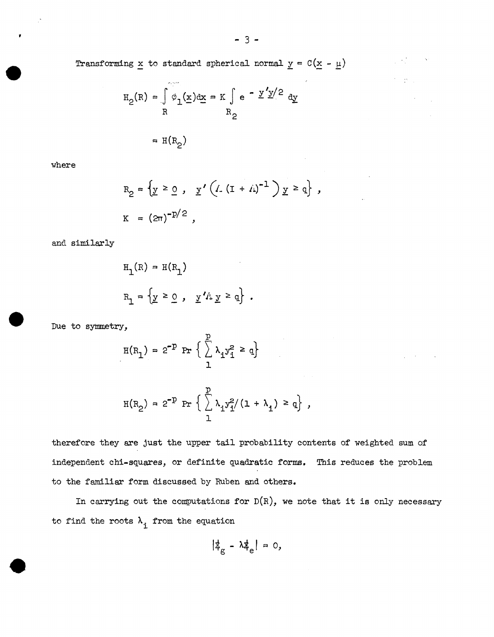Transforming  $\underline{x}$  to standard spherical normal  $\underline{y} = C(\underline{x} - \underline{\mu})$ 

$$
H_2(R) = \int_R \phi_1(\underline{x}) d\underline{x} = K \int_R e^{-\underline{y}' \underline{y}/2} d\underline{y}
$$
  
=  $H(R_2)$ 

where

$$
R_2 = \{ y \ge 0, y' (1.(1 + 1))^{-1} ) y \ge q \},
$$
  

$$
K = (2\pi)^{-p/2},
$$

and similarly

$$
H_1(R) = H(R_1)
$$
  

$$
R_1 = \{ y \ge 0 , y' / \lambda y \ge q \} .
$$

Due to symmetry,

$$
H(R_1) = 2^{-p} \Pr \left\{ \sum_{1}^{p} \lambda_1 y_1^2 \ge q \right\}
$$

$$
H(R_2) = 2^{-p} \Pr \left\{ \sum_{1}^{p} \lambda_i y_i^2 / (1 + \lambda_i) \ge q \right\},
$$

therefore they are just the upper tail probability contents of weighted sum of independent chi-squares, or definite quadratic forms. This reduces the problem to the familiar form discussed by Ruben and others.

In carrying out the computations for  $D(R)$ , we note that it is only necessary to find the roots  $\lambda_i$  from the equation

$$
|\nexists_{\rm g} - \lambda \nexists_{\rm e} | = 0,
$$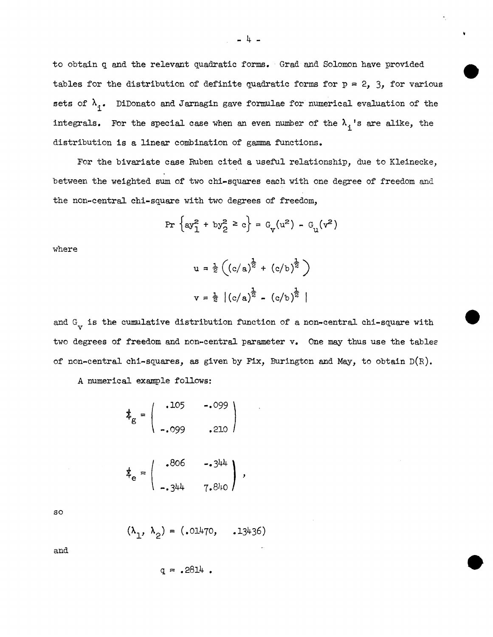to obtain q and the relevant quadratic forms. · Grad and Solomon have provided tables for the distribution of definite quadratic forms for  $p = 2$ , 3, for various sets of  $\lambda_{\texttt{i}}$ . DiDonato and Jarnagin gave formulae for numerical evaluation of the integrals. For the special case when an even number of the  $\lambda_{\text{i}}$ 's are alike, the distribution is a linear combination of gamma functions.

For the bivariate case Ruben cited a useful relationship, due to Kleinecke, between the weighted sum of two chi-squares each with one degree of freedom and the non-central chi-square with two degrees of freedom,

$$
\Pr\left\{\text{ay}_1^2 + \text{by}_2^2 \ge c\right\} = G_v(u^2) - G_u(v^2)
$$

where

$$
u = \frac{1}{2} \left( (c/a)^{\frac{1}{2}} + (c/b)^{\frac{1}{2}} \right)
$$
  

$$
v = \frac{1}{2} | (c/a)^{\frac{1}{2}} - (c/b)^{\frac{1}{2}} |
$$

and  $G_V$  is the cumulative distribution function of a non-central chi-square with two degrees of freedom and non-central parameter v. One may thus use the tables of non-central chi-squares, as given by Fix, Burington and May, to obtain  $D(R)$ .

A numerical example follows:

$$
\mathbf{\dot{z}}_{g} = \begin{pmatrix} .105 & -.099 \\ .099 & .210 \end{pmatrix}
$$
\n
$$
\mathbf{t}_{g} = \begin{pmatrix} .806 & -.344 \end{pmatrix}
$$

$$
\dot{\Phi}_{e} = \begin{pmatrix} 1.344 & 0.000 & 0.000 \\ 0.344 & 0.000 & 0.000 \\ 0.000 & 0.000 & 0.000 \\ 0.000 & 0.000 & 0.000 \end{pmatrix},
$$

so

$$
(\lambda_1, \lambda_2) = (.01470, .13436)
$$

and

$$
q = .2814.
$$